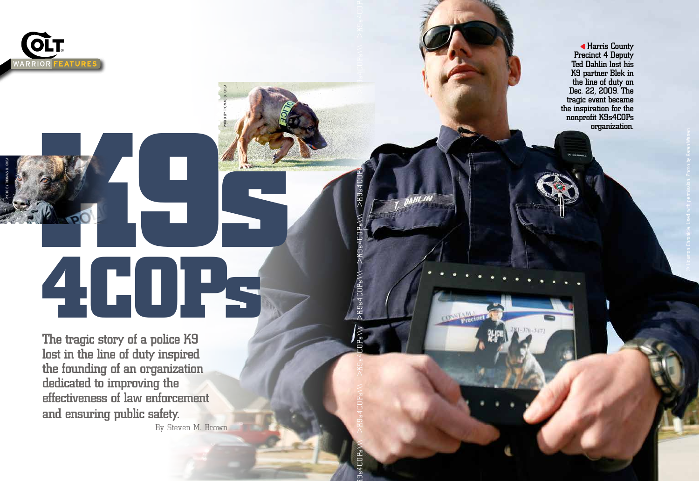

PHOTO BY THOMAS B. SHEA

# **K9 s 4COPs**

PHOTO BY THOMAS B. SHEA

 $\texttt{X0Ps} \setminus \texttt{X0Ps} \setminus \texttt{X1Ps} \setminus \texttt{X1Ps} \setminus \texttt{X1Ps} \setminus \texttt{X1Ps} \setminus \texttt{X1Ps} \setminus \texttt{X1Ps} \setminus \texttt{X1Ps} \setminus \texttt{X1Ps} \setminus \texttt{X1Ps} \setminus \texttt{X1Ps} \setminus \texttt{X1Ps} \setminus \texttt{X1Ps} \setminus \texttt{X1Ps} \setminus \texttt{X1Ps} \setminus \texttt{X1Ps} \setminus \texttt{X1Ps} \setminus \texttt{$ 

 $>$  $K9s$ 

>K9s4COPs\\

 $9s4C$ O $Ps$ 

CON

The tragic story of a police K9 lost in the line of duty inspired the founding of an organization dedicated to improving the effectiveness of law enforcement and ensuring public safety.

By Steven M. Brown

Harris County Precinct 4 Deputy Ted Dahlin lost his K9 partner Blek in the line of duty on Dec. 22, 2009. The tragic event became the inspiration for the nonprofit K9s4COPs organization.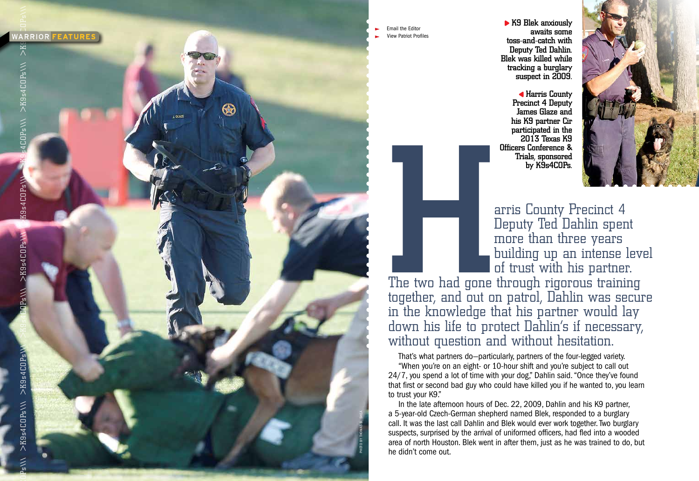

 Email the Editor View Patriot Profiles



COLOR TEXAS NS<br>
Officers Conference &<br>
Trials, sponsored<br>
by K9s4COPs.<br>
The two had gone through rigorous training the linewhedther had been through rigorous training<br>
the linewhedter had been patrol, Dahlin was set<br>
in th Deputy Ted Dahlin spent more than three years building up an intense level of trust with his partner.

The two had gone through rigorous training together, and out on patrol, Dahlin was secure in the knowledge that his partner would lay down his life to protect Dahlin's if necessary, without question and without hesitation.

That's what partners do—particularly, partners of the four-legged variety. "When you're on an eight- or 10-hour shift and you're subject to call out 24/7, you spend a lot of time with your dog," Dahlin said. "Once they've found that first or second bad guy who could have killed you if he wanted to, you learn to trust your K9."

In the late afternoon hours of Dec. 22, 2009, Dahlin and his K9 partner, a 5-year-old Czech-German shepherd named Blek, responded to a burglary call. It was the last call Dahlin and Blek would ever work together. Two burglary suspects, surprised by the arrival of uniformed officers, had fled into a wooded area of north Houston. Blek went in after them, just as he was trained to do, but he didn't come out.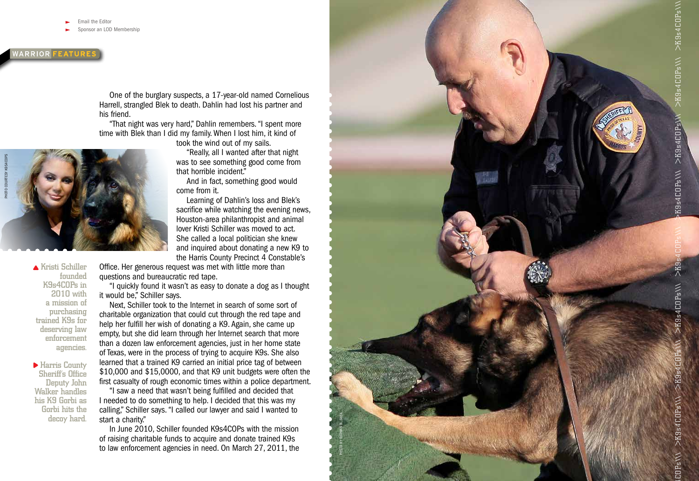nail the Editor

onsor an LOD Membership

# **WARRIOR FEATURE**

One of the burglary suspects, a 17-year-old named Cornelious Harrell, strangled Blek to death. Dahlin had lost his partner and his friend.

"That night was very hard," Dahlin remembers. "I spent more time with Blek than I did my family. When I lost him, it kind of

took the wind out of my sails.

"Really, all I wanted after that night was to see something good come from that horrible incident."

And in fact, something good would come from it.

Learning of Dahlin's loss and Blek's sacrifice while watching the evening news, Houston-area philanthropist and animal lover Kristi Schiller was moved to act. She called a local politician she knew and inquired about donating a new K9 to the Harris County Precinct 4 Constable's

Office. Her generous request was met with little more than questions and bureaucratic red tape.

"I quickly found it wasn't as easy to donate a dog as I thought it would be," Schiller says.

Next, Schiller took to the Internet in search of some sort of charitable organization that could cut through the red tape and help her fulfill her wish of donating a K9. Again, she came up empty, but she did learn through her Internet search that more than a dozen law enforcement agencies, just in her home state of Texas, were in the process of trying to acquire K9s. She also learned that a trained K9 carried an initial price tag of between \$10,000 and \$15,0000, and that K9 unit budgets were often the first casualty of rough economic times within a police department.

"I saw a need that wasn't being fulfilled and decided that I needed to do something to help. I decided that this was my calling," Schiller says. "I called our lawyer and said I wanted to start a charity."

In June 2010, Schiller founded K9s4COPs with the mission of raising charitable funds to acquire and donate trained K9s to law enforcement agencies in need. On March 27, 2011, the

▲ Kristi Schiller founded K9s4COPs in 2010 with a mission of purchasing trained K9s for deserving law enforcement

agencies.

Harris County Sheriff's Office Deputy John Walker handles his K9 Gorbi as Gorbi hits the decoy hard.



PHOTO BY THOMAS B. SHEA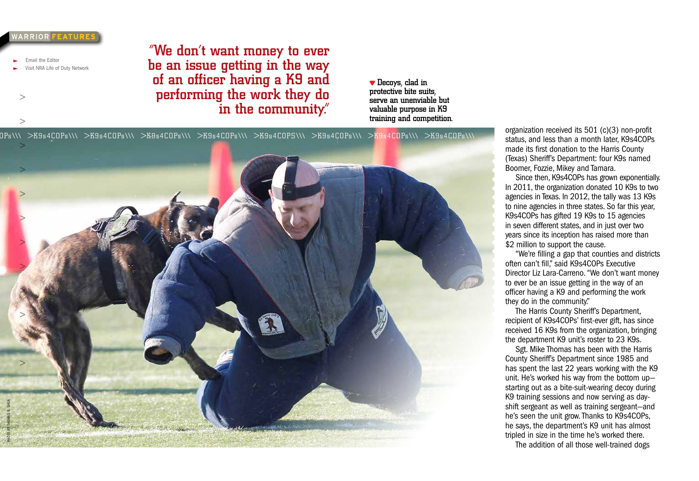### *NARRIOR FEATURE*

Email the Editor

 $\geq$ 

 $\geq$ 

sit NRA Life of Duty Network

"We don't want money to ever be an issue getting in the way of an officer having a K9 and performing the work they do in the community."

**v** Decoys, clad in protective bite suits, serve an unenviable but valuable purpose in K9 training and competition.

s4COP s**\\\** >K9 s4COP s**\\\** >K9 s4COP s**\\\** >K9 s4COP s**\\\** >K9 s4COP s**\\\** >K9 s4COPS**\\\** >K9 s4COP s**\\\** >K9 s4COP s**\\\** >K9 s4COP s**\\\** 



organization received its 501 (c)(3) non-profit status, and less than a month later, K9s4COPs made its first donation to the Harris County (Texas) Sheriff's Department: four K9s named Boomer, Fozzie, Mikey and Tamara.

Since then, K9s4COPs has grown exponentially. In 2011, the organization donated 10 K9s to two agencies in Texas. In 2012, the tally was 13 K9s to nine agencies in three states. So far this year, K9s4COPs has gifted 19 K9s to 15 agencies in seven different states, and in just over two years since its inception has raised more than \$2 million to support the cause.

"We're filling a gap that counties and districts often can't fill," said K9s4COPs Executive Director Liz Lara-Carreno. "We don't want money to ever be an issue getting in the way of an officer having a K9 and performing the work they do in the community."

The Harris County Sheriff's Department, recipient of K9s4COPs' first-ever gift, has since received 16 K9s from the organization, bringing the department K9 unit's roster to 23 K9s.

Sgt. Mike Thomas has been with the Harris County Sheriff's Department since 1985 and has spent the last 22 years working with the K9 unit. He's worked his way from the bottom up starting out as a bite-suit-wearing decoy during K9 training sessions and now serving as dayshift sergeant as well as training sergeant—and he's seen the unit grow. Thanks to K9s4COPs, he says, the department's K9 unit has almost tripled in size in the time he's worked there. The addition of all those well-trained dogs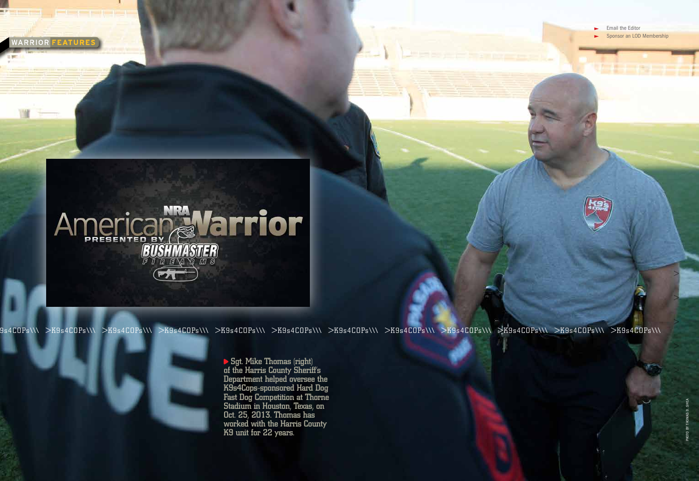WARRIOR FEATURES

 Email the Editor Sponsor an LOD Membership

PHOTO BY THOMAS B. SHEA



9s4COPs\\\ >K9s4COPs\\\ >K9s4COPs\\\ >K9s4COPs\\\ >K9s4COPs\\\ >K9s4COPs\\\ >K9s4COPs\\\ >K9s4COPs\\\ >K9s4COPs\\\ >K9s4COPs\\\ >K9s4COPs\\\ >K9s4COPs\\\

Sgt. Mike Thomas (right) of the Harris County Sheriff's Department helped oversee the K9s4Cops-sponsored Hard Dog Fast Dog Competition at Thorne Stadium in Houston, Texas, on Oct. 25, 2013. Thomas has worked with the Harris County K9 unit for 22 years.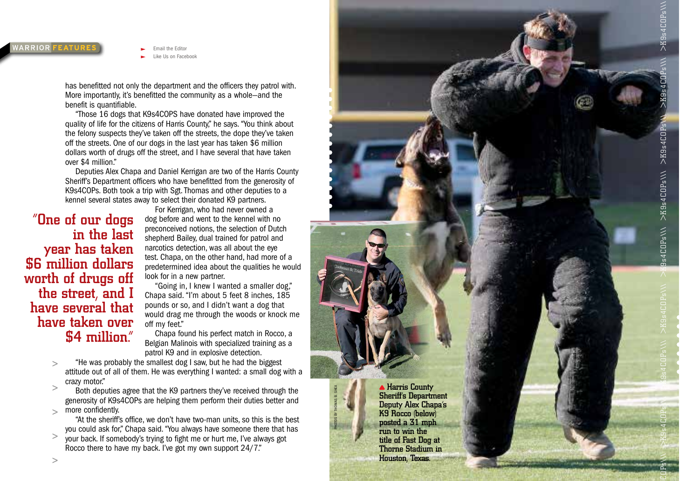## **WARRIOR FEATURE**

Like Us on Facebook

**Email the Editor** 

has benefitted not only the department and the officers they patrol with. More importantly, it's benefitted the community as a whole—and the benefit is quantifiable.

"Those 16 dogs that K9s4COPS have donated have improved the quality of life for the citizens of Harris County," he says. "You think about the felony suspects they've taken off the streets, the dope they've taken off the streets. One of our dogs in the last year has taken \$6 million dollars worth of drugs off the street, and I have several that have taken over \$4 million."

Deputies Alex Chapa and Daniel Kerrigan are two of the Harris County Sheriff's Department officers who have benefitted from the generosity of K9s4COPs. Both took a trip with Sgt. Thomas and other deputies to a kennel several states away to select their donated K9 partners.

"One of our dogs in the last year has taken \$6 million dollars worth of drugs off the street, and I have several that have taken over \$4 million."

For Kerrigan, who had never owned a dog before and went to the kennel with no preconceived notions, the selection of Dutch shepherd Bailey, dual trained for patrol and narcotics detection, was all about the eye test. Chapa, on the other hand, had more of a predetermined idea about the qualities he would look for in a new partner.

"Going in, I knew I wanted a smaller dog," Chapa said. "I'm about 5 feet 8 inches, 185 pounds or so, and I didn't want a dog that would drag me through the woods or knock me off my feet."

Chapa found his perfect match in Rocco, a Belgian Malinois with specialized training as a patrol K9 and in explosive detection.

"He was probably the smallest dog I saw, but he had the biggest  $\geq$ attitude out of all of them. He was everything I wanted: a small dog with a crazy motor."

 $\geq$ Both deputies agree that the K9 partners they've received through the generosity of K9s4COPs are helping them perform their duties better and more confidently.  $\overline{\phantom{0}}$ 

"At the sheriff's office, we don't have two-man units, so this is the best you could ask for," Chapa said. "You always have someone there that has

 $\geq$ your back. If somebody's trying to fight me or hurt me, I've always got Rocco there to have my back. I've got my own support 24/7."

**A Harris County** Sheriff's Department Deputy Alex Chapa's K9 Rocco (below) posted a 31 mph run to win the title of Fast Dog at Thorne Stadium in Houston, Texas.

PHOTOS BY THOMAS B. SHEA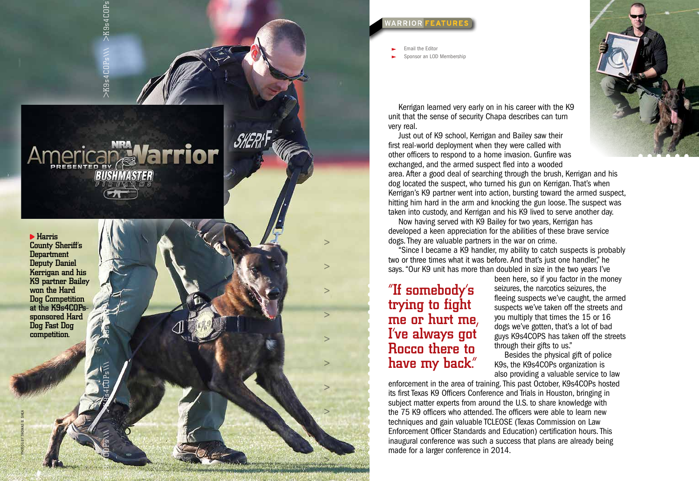



Harris County Sheriff's Department Deputy Daniel Kerrigan and his K9 partner Bailey won the Hard Dog Competition at the K9s4COPssponsored Hard Dog Fast Dog competition.

PHOTOS BY THOMAS B. SHEA

*WARRIOR FEATUR* 

Email the Editor

Sponsor an LOD Membership

Kerrigan learned very early on in his career with the K9 unit that the sense of security Chapa describes can turn very real.

Just out of K9 school, Kerrigan and Bailey saw their first real-world deployment when they were called with other officers to respond to a home invasion. Gunfire was exchanged, and the armed suspect fled into a wooded

area. After a good deal of searching through the brush, Kerrigan and his dog located the suspect, who turned his gun on Kerrigan. That's when Kerrigan's K9 partner went into action, bursting toward the armed suspect, hitting him hard in the arm and knocking the gun loose. The suspect was taken into custody, and Kerrigan and his K9 lived to serve another day.

Now having served with K9 Bailey for two years, Kerrigan has developed a keen appreciation for the abilities of these brave service dogs. They are valuable partners in the war on crime.

"Since I became a K9 handler, my ability to catch suspects is probably two or three times what it was before. And that's just one handler," he says. "Our K9 unit has more than doubled in size in the two years I've

# "If somebody's trying to fight me or hurt me, I've always got Rocco there to have my back."

 $\geq$ 

 $\geq$ 

 $\geq$ 

 $\geq$ 

been here, so if you factor in the money seizures, the narcotics seizures, the fleeing suspects we've caught, the armed suspects we've taken off the streets and you multiply that times the 15 or 16 dogs we've gotten, that's a lot of bad guys K9s4COPS has taken off the streets through their gifts to us."

Besides the physical gift of police K9s, the K9s4COPs organization is also providing a valuable service to law

enforcement in the area of training. This past October, K9s4COPs hosted its first Texas K9 Officers Conference and Trials in Houston, bringing in subject matter experts from around the U.S. to share knowledge with the 75 K9 officers who attended. The officers were able to learn new techniques and gain valuable TCLEOSE (Texas Commission on Law Enforcement Officer Standards and Education) certification hours. This inaugural conference was such a success that plans are already being made for a larger conference in 2014.